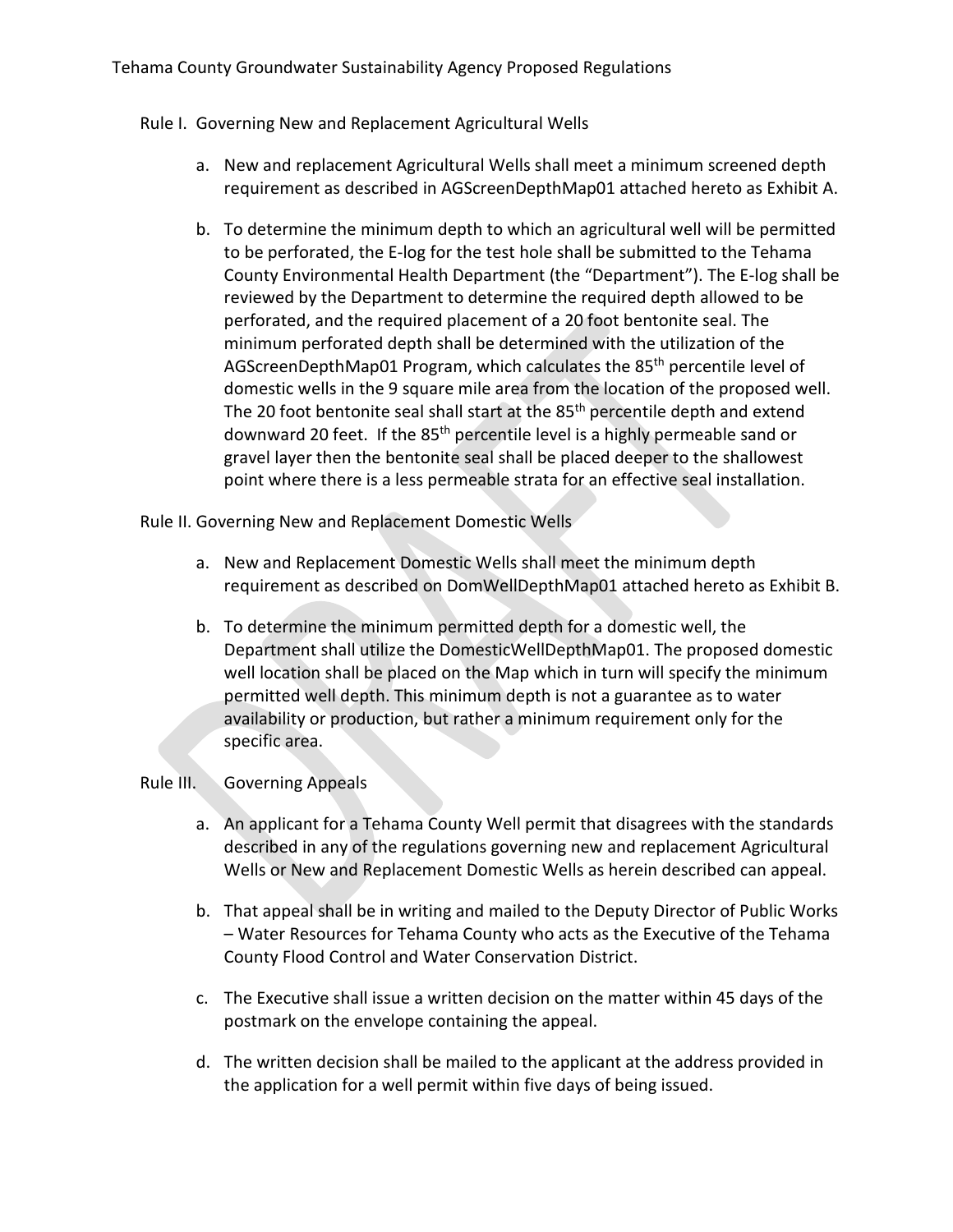## Rule I. Governing New and Replacement Agricultural Wells

- a. New and replacement Agricultural Wells shall meet a minimum screened depth requirement as described in AGScreenDepthMap01 attached hereto as Exhibit A.
- b. To determine the minimum depth to which an agricultural well will be permitted to be perforated, the E-log for the test hole shall be submitted to the Tehama County Environmental Health Department (the "Department"). The E-log shall be reviewed by the Department to determine the required depth allowed to be perforated, and the required placement of a 20 foot bentonite seal. The minimum perforated depth shall be determined with the utilization of the AGScreenDepthMap01 Program, which calculates the 85th percentile level of domestic wells in the 9 square mile area from the location of the proposed well. The 20 foot bentonite seal shall start at the 85<sup>th</sup> percentile depth and extend downward 20 feet. If the 85th percentile level is a highly permeable sand or gravel layer then the bentonite seal shall be placed deeper to the shallowest point where there is a less permeable strata for an effective seal installation.

Rule II. Governing New and Replacement Domestic Wells

- a. New and Replacement Domestic Wells shall meet the minimum depth requirement as described on DomWellDepthMap01 attached hereto as Exhibit B.
- b. To determine the minimum permitted depth for a domestic well, the Department shall utilize the DomesticWellDepthMap01. The proposed domestic well location shall be placed on the Map which in turn will specify the minimum permitted well depth. This minimum depth is not a guarantee as to water availability or production, but rather a minimum requirement only for the specific area.

## Rule III. Governing Appeals

- a. An applicant for a Tehama County Well permit that disagrees with the standards described in any of the regulations governing new and replacement Agricultural Wells or New and Replacement Domestic Wells as herein described can appeal.
- b. That appeal shall be in writing and mailed to the Deputy Director of Public Works – Water Resources for Tehama County who acts as the Executive of the Tehama County Flood Control and Water Conservation District.
- c. The Executive shall issue a written decision on the matter within 45 days of the postmark on the envelope containing the appeal.
- d. The written decision shall be mailed to the applicant at the address provided in the application for a well permit within five days of being issued.